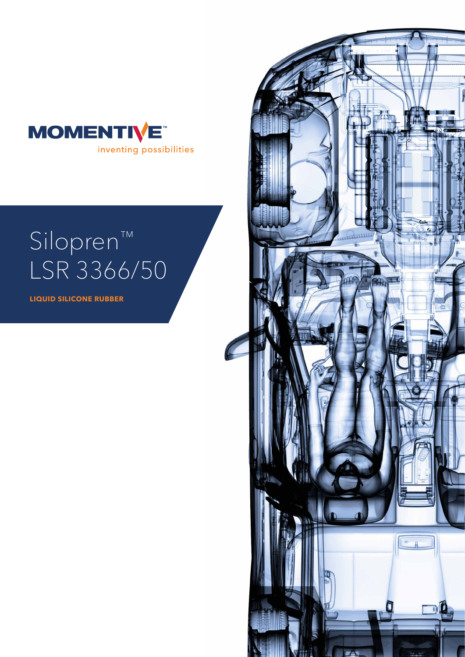

# Silopren™ LSR 3366/50

**LIQUID SILICONE RUBBER**

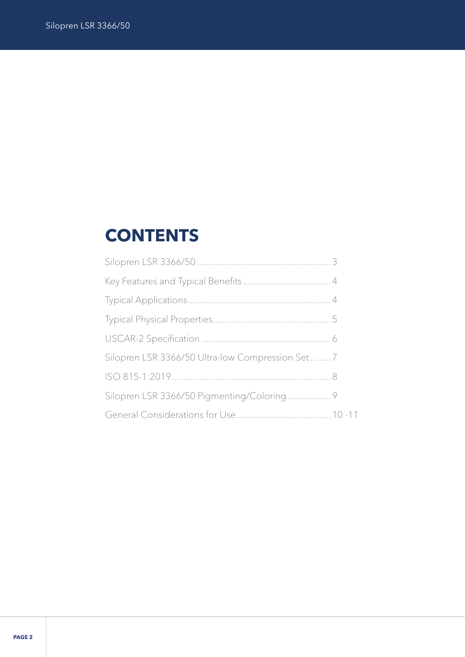## **CONTENTS**

| Silopren LSR 3366/50 Ultra-low Compression Set7 |  |
|-------------------------------------------------|--|
|                                                 |  |
|                                                 |  |
|                                                 |  |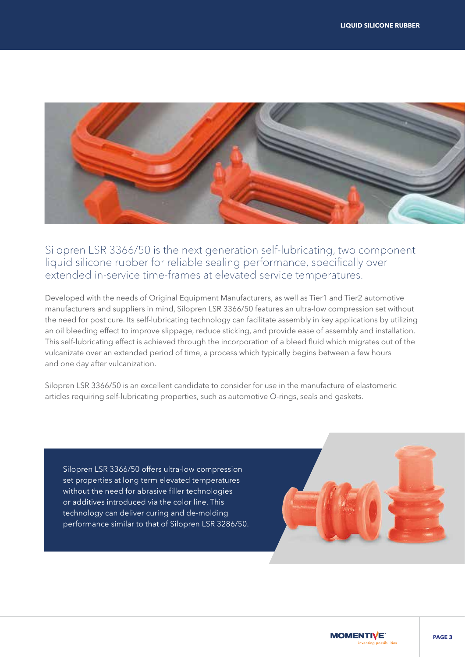

Silopren LSR 3366/50 is the next generation self-lubricating, two component liquid silicone rubber for reliable sealing performance, specifically over extended in-service time-frames at elevated service temperatures.

Developed with the needs of Original Equipment Manufacturers, as well as Tier1 and Tier2 automotive manufacturers and suppliers in mind, Silopren LSR 3366/50 features an ultra-low compression set without the need for post cure. Its self-lubricating technology can facilitate assembly in key applications by utilizing an oil bleeding effect to improve slippage, reduce sticking, and provide ease of assembly and installation. This self-lubricating effect is achieved through the incorporation of a bleed fluid which migrates out of the vulcanizate over an extended period of time, a process which typically begins between a few hours and one day after vulcanization.

Silopren LSR 3366/50 is an excellent candidate to consider for use in the manufacture of elastomeric articles requiring self-lubricating properties, such as automotive O-rings, seals and gaskets.

Silopren LSR 3366/50 offers ultra-low compression set properties at long term elevated temperatures without the need for abrasive filler technologies or additives introduced via the color line. This technology can deliver curing and de-molding performance similar to that of Silopren LSR 3286/50.

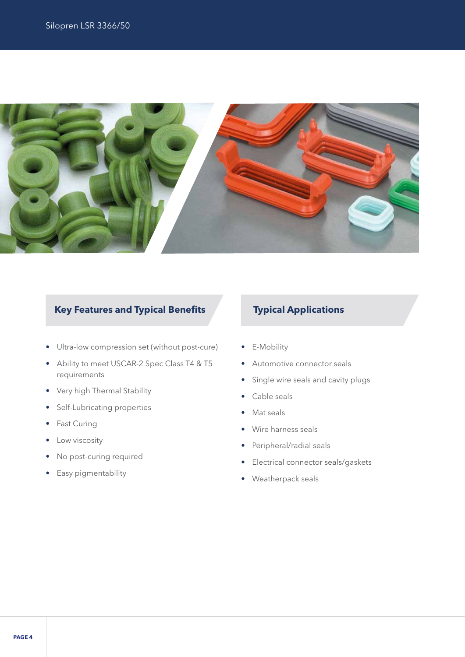

### **Key Features and Typical Benefits Typical Applications**

- Ultra-low compression set (without post-cure)
- Ability to meet USCAR-2 Spec Class T4 & T5 requirements
- Very high Thermal Stability
- Self-Lubricating properties
- Fast Curing
- Low viscosity
- No post-curing required
- Easy pigmentability

- E-Mobility
- Automotive connector seals
- Single wire seals and cavity plugs
- Cable seals
- Mat seals
- Wire harness seals
- Peripheral/radial seals
- Electrical connector seals/gaskets
- Weatherpack seals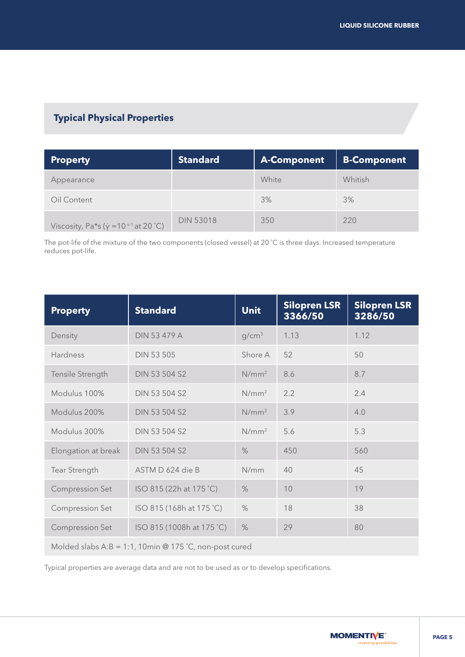### **Typical Physical Properties**

| <b>Property</b>                                           | <b>Standard</b>  | <b>A-Component</b> | <b>B-Component</b> |
|-----------------------------------------------------------|------------------|--------------------|--------------------|
| Appearance                                                |                  | White              | Whitish            |
| Oil Content                                               |                  | 3%                 | 3%                 |
| Viscosity, Pa*s ( $\dot{y}$ = 10 <sup>s-1</sup> at 20 °C) | <b>DIN 53018</b> | 350                | 220                |

The pot-life of the mixture of the two components (closed vessel) at 20 ˚C is three days. Increased temperature reduces pot-life.

| <b>Property</b>                                        | <b>Standard</b>           | <b>Unit</b>       | <b>Silopren LSR</b><br>3366/50 | <b>Silopren LSR</b><br>3286/50 |
|--------------------------------------------------------|---------------------------|-------------------|--------------------------------|--------------------------------|
| Density                                                | <b>DIN 53 479 A</b>       | g/cm <sup>3</sup> | 1.13                           | 1.12                           |
| <b>Hardness</b>                                        | <b>DIN 53 505</b>         | Shore A           | 52                             | 50                             |
| Tensile Strength                                       | <b>DIN 53 504 S2</b>      | $N/mm^2$          | 8.6                            | 8.7                            |
| Modulus 100%                                           | <b>DIN 53 504 S2</b>      | $N/mm^2$          | 2.2                            | 2.4                            |
| Modulus 200%                                           | <b>DIN 53 504 S2</b>      | $N/mm^2$          | 3.9                            | 4.0                            |
| Modulus 300%                                           | <b>DIN 53 504 S2</b>      | $N/mm^2$          | 5.6                            | 5.3                            |
| Elongation at break                                    | <b>DIN 53 504 S2</b>      | $\%$              | 450                            | 560                            |
| Tear Strength                                          | ASTM D 624 die B          | N/mm              | 40                             | 45                             |
| <b>Compression Set</b>                                 | ISO 815 (22h at 175 °C)   | $\%$              | 10                             | 19                             |
| <b>Compression Set</b>                                 | ISO 815 (168h at 175 °C)  | $\%$              | 18                             | 38                             |
| <b>Compression Set</b>                                 | ISO 815 (1008h at 175 °C) | $\%$              | 29                             | 80                             |
| Molded slabs A:B = 1:1, 10min @ 175 °C, non-post cured |                           |                   |                                |                                |

Typical properties are average data and are not to be used as or to develop specifications.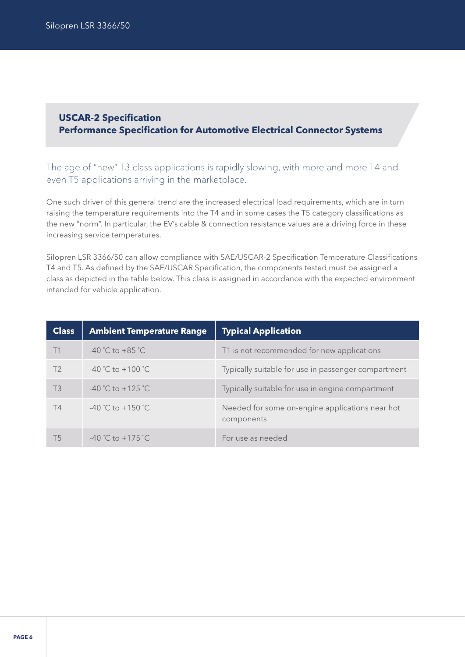#### **USCAR-2 Specification Performance Specification for Automotive Electrical Connector Systems**

The age of "new" T3 class applications is rapidly slowing, with more and more T4 and even T5 applications arriving in the marketplace.

One such driver of this general trend are the increased electrical load requirements, which are in turn raising the temperature requirements into the T4 and in some cases the T5 category classifications as the new "norm". In particular, the EV's cable & connection resistance values are a driving force in these increasing service temperatures.

Silopren LSR 3366/50 can allow compliance with SAE/USCAR-2 Specification Temperature Classifications T4 and T5. As defined by the SAE/USCAR Specification, the components tested must be assigned a class as depicted in the table below. This class is assigned in accordance with the expected environment intended for vehicle application.

| <b>Class</b>   | <b>Ambient Temperature Range</b>  | <b>Typical Application</b>                                    |
|----------------|-----------------------------------|---------------------------------------------------------------|
| T1             | $-40\degree$ C to $+85\degree$ C. | T1 is not recommended for new applications                    |
| T <sub>2</sub> | $-40\degree$ C to $+100\degree$ C | Typically suitable for use in passenger compartment           |
| T3             | $-40$ °C to $+125$ °C.            | Typically suitable for use in engine compartment              |
| T4             | $-40\degree$ C to $+150\degree$ C | Needed for some on-engine applications near hot<br>components |
| Т5             | $-40$ °C to $+175$ °C.            | For use as needed                                             |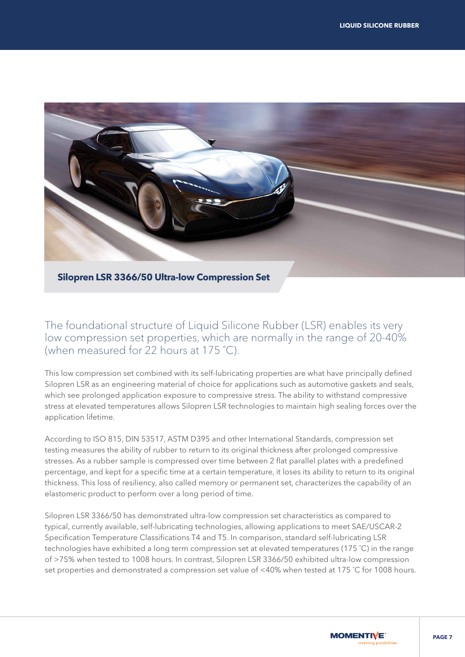

**Silopren LSR 3366/50 Ultra-low Compression Set**

The foundational structure of Liquid Silicone Rubber (LSR) enables its very low compression set properties, which are normally in the range of 20-40% (when measured for 22 hours at 175 ˚C).

This low compression set combined with its self-lubricating properties are what have principally defined Silopren LSR as an engineering material of choice for applications such as automotive gaskets and seals, which see prolonged application exposure to compressive stress. The ability to withstand compressive stress at elevated temperatures allows Silopren LSR technologies to maintain high sealing forces over the application lifetime.

According to ISO 815, DIN 53517, ASTM D395 and other International Standards, compression set testing measures the ability of rubber to return to its original thickness after prolonged compressive stresses. As a rubber sample is compressed over time between 2 flat parallel plates with a predefined percentage, and kept for a specific time at a certain temperature, it loses its ability to return to its original thickness. This loss of resiliency, also called memory or permanent set, characterizes the capability of an elastomeric product to perform over a long period of time.

Silopren LSR 3366/50 has demonstrated ultra-low compression set characteristics as compared to typical, currently available, self-lubricating technologies, allowing applications to meet SAE/USCAR-2 Specification Temperature Classifications T4 and T5. In comparison, standard self-lubricating LSR technologies have exhibited a long term compression set at elevated temperatures (175 ˚C) in the range of >75% when tested to 1008 hours. In contrast, Silopren LSR 3366/50 exhibited ultra-low compression set properties and demonstrated a compression set value of <40% when tested at 175 ˚C for 1008 hours.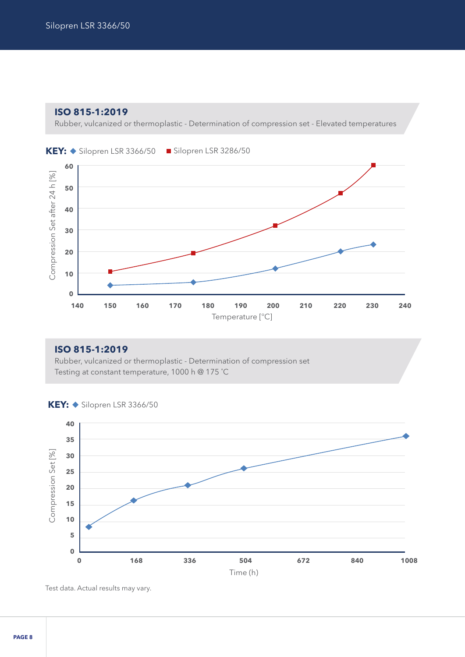**ISO 815-1:2019** 

Rubber, vulcanized or thermoplastic - Determination of compression set - Elevated temperatures





#### **ISO 815-1:2019 0**

Rubber, vulcanized or thermoplastic - Determination of compression set **140 150 160 170 180 190 200 210 220 230 240** Testing at constant temperature, 1000 h @ 175 ˚C **40**



**KEY: ◆ Silopren LSR 3366/50** 

Test data. Actual results may vary.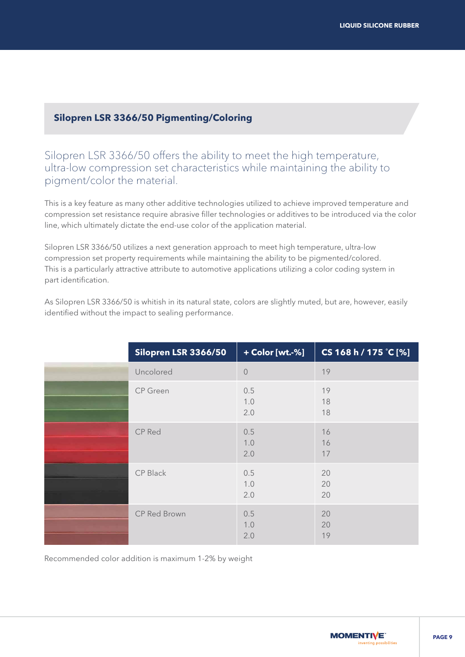#### **Silopren LSR 3366/50 Pigmenting/Coloring**

Silopren LSR 3366/50 offers the ability to meet the high temperature, ultra-low compression set characteristics while maintaining the ability to pigment/color the material.

This is a key feature as many other additive technologies utilized to achieve improved temperature and compression set resistance require abrasive filler technologies or additives to be introduced via the color line, which ultimately dictate the end-use color of the application material.

Silopren LSR 3366/50 utilizes a next generation approach to meet high temperature, ultra-low compression set property requirements while maintaining the ability to be pigmented/colored. This is a particularly attractive attribute to automotive applications utilizing a color coding system in part identification.

| Silopren LSR 3366/50 | + Color [wt.-%]   | CS 168 h / 175 °C [%] |
|----------------------|-------------------|-----------------------|
| Uncolored            | $\sqrt{a}$        | 19                    |
| <b>CP</b> Green      | 0.5<br>1.0<br>2.0 | 19<br>18<br>18        |
| CP Red               | 0.5<br>1.0<br>2.0 | 16<br>16<br>17        |
| CP Black             | 0.5<br>1.0<br>2.0 | 20<br>20<br>20        |
| CP Red Brown         | 0.5<br>1.0<br>2.0 | 20<br>20<br>19        |

As Silopren LSR 3366/50 is whitish in its natural state, colors are slightly muted, but are, however, easily identified without the impact to sealing performance.

Recommended color addition is maximum 1-2% by weight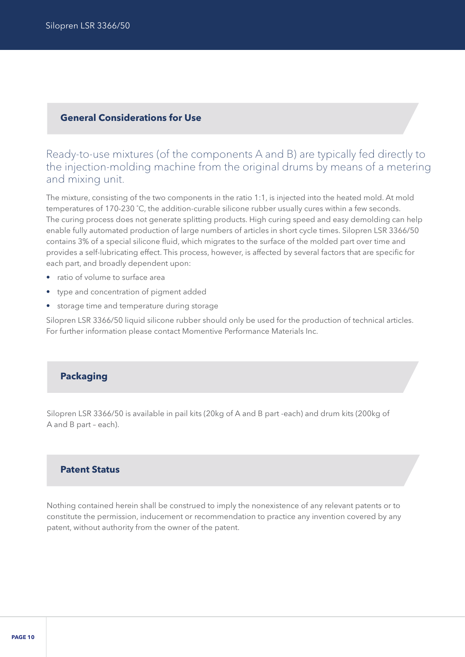#### **General Considerations for Use**

#### Ready-to-use mixtures (of the components A and B) are typically fed directly to the injection-molding machine from the original drums by means of a metering and mixing unit.

The mixture, consisting of the two components in the ratio 1:1, is injected into the heated mold. At mold temperatures of 170-230 ˚C, the addition-curable silicone rubber usually cures within a few seconds. The curing process does not generate splitting products. High curing speed and easy demolding can help enable fully automated production of large numbers of articles in short cycle times. Silopren LSR 3366/50 contains 3% of a special silicone fluid, which migrates to the surface of the molded part over time and provides a self-lubricating effect. This process, however, is affected by several factors that are specific for each part, and broadly dependent upon:

- ratio of volume to surface area
- type and concentration of pigment added
- storage time and temperature during storage

Silopren LSR 3366/50 liquid silicone rubber should only be used for the production of technical articles. For further information please contact Momentive Performance Materials Inc.

#### **Packaging**

Silopren LSR 3366/50 is available in pail kits (20kg of A and B part -each) and drum kits (200kg of A and B part – each).

#### **Patent Status**

Nothing contained herein shall be construed to imply the nonexistence of any relevant patents or to constitute the permission, inducement or recommendation to practice any invention covered by any patent, without authority from the owner of the patent.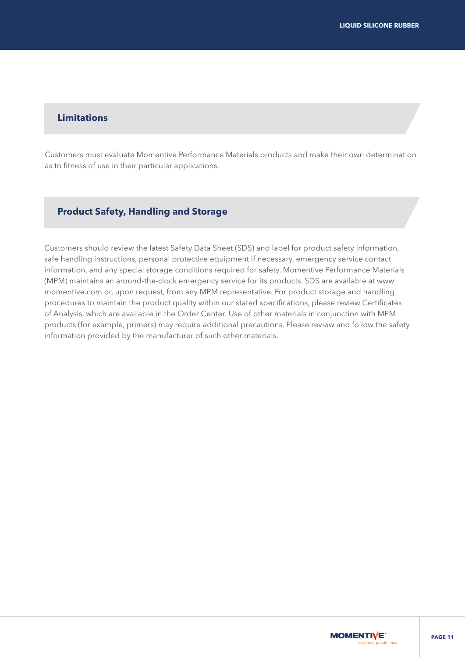#### **Limitations**

Customers must evaluate Momentive Performance Materials products and make their own determination as to fitness of use in their particular applications.

#### **Product Safety, Handling and Storage**

Customers should review the latest Safety Data Sheet (SDS) and label for product safety information, safe handling instructions, personal protective equipment if necessary, emergency service contact information, and any special storage conditions required for safety. Momentive Performance Materials (MPM) maintains an around-the-clock emergency service for its products. SDS are available at www. momentive.com or, upon request, from any MPM representative. For product storage and handling procedures to maintain the product quality within our stated specifications, please review Certificates of Analysis, which are available in the Order Center. Use of other materials in conjunction with MPM products (for example, primers) may require additional precautions. Please review and follow the safety information provided by the manufacturer of such other materials.